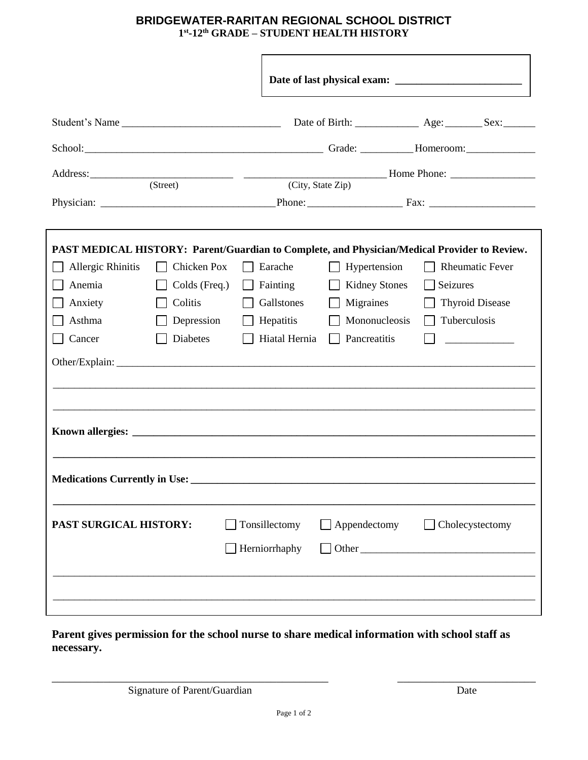## **BRIDGEWATER-RARITAN REGIONAL SCHOOL DISTRICT 1 st -12th GRADE – STUDENT HEALTH HISTORY**

| Student's Name                       |               |  |                                |  | Date of Birth: <u>____________</u> Age: ________ Sex: _______ |                                                                                                                     |  |  |  |
|--------------------------------------|---------------|--|--------------------------------|--|---------------------------------------------------------------|---------------------------------------------------------------------------------------------------------------------|--|--|--|
|                                      |               |  |                                |  |                                                               |                                                                                                                     |  |  |  |
|                                      |               |  |                                |  |                                                               |                                                                                                                     |  |  |  |
| (Street)                             |               |  | (City, State Zip)              |  |                                                               |                                                                                                                     |  |  |  |
|                                      |               |  |                                |  |                                                               | PAST MEDICAL HISTORY: Parent/Guardian to Complete, and Physician/Medical Provider to Review.                        |  |  |  |
| Allergic Rhinitis                    | Chicken Pox   |  | Earache                        |  | Hypertension                                                  | <b>Rheumatic Fever</b>                                                                                              |  |  |  |
| Anemia                               | Colds (Freq.) |  | Fainting                       |  | <b>Kidney Stones</b>                                          | Seizures                                                                                                            |  |  |  |
| Anxiety                              | Colitis       |  | Gallstones                     |  | Migraines                                                     | <b>Thyroid Disease</b>                                                                                              |  |  |  |
| Asthma                               | Depression    |  | Hepatitis                      |  | Mononucleosis                                                 | Tuberculosis                                                                                                        |  |  |  |
| Cancer                               | Diabetes      |  | Hiatal Hernia                  |  | Pancreatitis                                                  | <u> 1980 - Jan Barat, prima populație de la proprietat de la proprietat de la proprietat de la proprietat de la</u> |  |  |  |
|                                      |               |  |                                |  |                                                               |                                                                                                                     |  |  |  |
|                                      |               |  |                                |  |                                                               |                                                                                                                     |  |  |  |
| <b>Medications Currently in Use:</b> |               |  |                                |  |                                                               |                                                                                                                     |  |  |  |
| PAST SURGICAL HISTORY:               |               |  | Tonsillectomy<br>Herniorrhaphy |  | Appendectomy                                                  | $\Box$ Cholecystectomy                                                                                              |  |  |  |
|                                      |               |  |                                |  |                                                               |                                                                                                                     |  |  |  |

**Parent gives permission for the school nurse to share medical information with school staff as necessary.**

Signature of Parent/Guardian Date

\_\_\_\_\_\_\_\_\_\_\_\_\_\_\_\_\_\_\_\_\_\_\_\_\_\_\_\_\_\_\_\_\_\_\_\_\_\_\_\_\_\_\_\_\_\_\_\_ \_\_\_\_\_\_\_\_\_\_\_\_\_\_\_\_\_\_\_\_\_\_\_\_